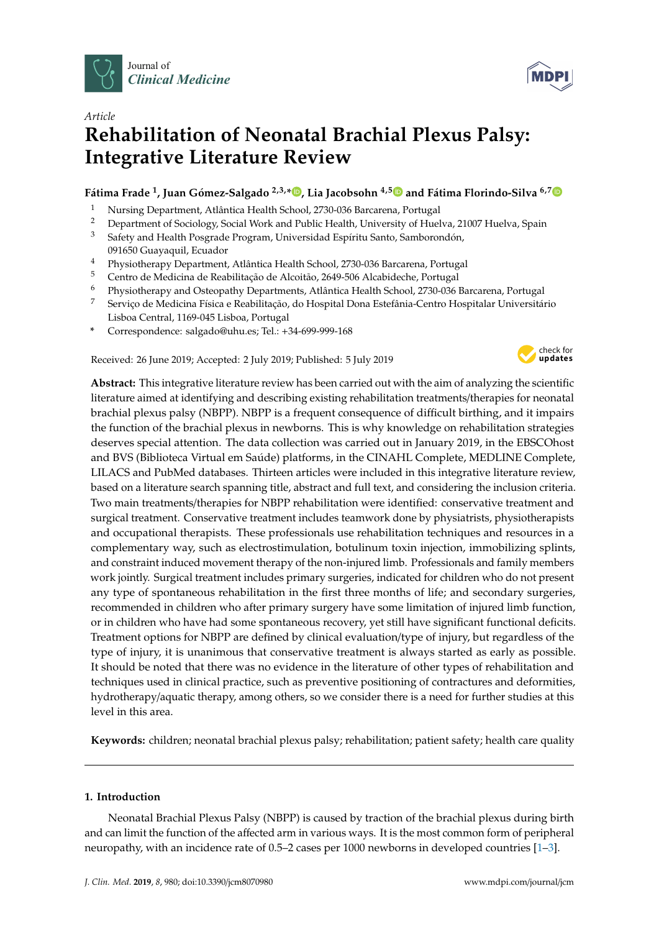



# *Article* **Rehabilitation of Neonatal Brachial Plexus Palsy: Integrative Literature Review**

**Fátima Frade <sup>1</sup> , Juan Gómez-Salgado 2,3,\* [,](https://orcid.org/0000-0001-9053-7730) Lia Jacobsohn 4,[5](https://orcid.org/0000-0002-4934-386X) and Fátima Florindo-Silva 6,[7](https://orcid.org/0000-0001-5550-532X)**

- <sup>1</sup> Nursing Department, Atlântica Health School, 2730-036 Barcarena, Portugal<br><sup>2</sup> Department of Sociology, Social Work and Public Health, University of Hue
- <sup>2</sup> Department of Sociology, Social Work and Public Health, University of Huelva, 21007 Huelva, Spain<br><sup>3</sup> Safety and Health Peegrade Program Universided Espírity Santa Samborandán
- <sup>3</sup> Safety and Health Posgrade Program, Universidad Espíritu Santo, Samborondón, 091650 Guayaquil, Ecuador
- 4 Physiotherapy Department, Atlântica Health School, 2730-036 Barcarena, Portugal<br>5 Centro de Medicina de Beabilitação de Alcoitão 2649-506 Alcabideche, Portugal
- <sup>5</sup> Centro de Medicina de Reabilitação de Alcoitão, 2649-506 Alcabideche, Portugal
- <sup>6</sup> Physiotherapy and Osteopathy Departments, Atlântica Health School, 2730-036 Barcarena, Portugal
- <sup>7</sup> Serviço de Medicina Física e Reabilitação, do Hospital Dona Estefânia-Centro Hospitalar Universitário Lisboa Central, 1169-045 Lisboa, Portugal
- **\*** Correspondence: salgado@uhu.es; Tel.: +34-699-999-168

Received: 26 June 2019; Accepted: 2 July 2019; Published: 5 July 2019



**Abstract:** This integrative literature review has been carried out with the aim of analyzing the scientific literature aimed at identifying and describing existing rehabilitation treatments/therapies for neonatal brachial plexus palsy (NBPP). NBPP is a frequent consequence of difficult birthing, and it impairs the function of the brachial plexus in newborns. This is why knowledge on rehabilitation strategies deserves special attention. The data collection was carried out in January 2019, in the EBSCOhost and BVS (Biblioteca Virtual em Saúde) platforms, in the CINAHL Complete, MEDLINE Complete, LILACS and PubMed databases. Thirteen articles were included in this integrative literature review, based on a literature search spanning title, abstract and full text, and considering the inclusion criteria. Two main treatments/therapies for NBPP rehabilitation were identified: conservative treatment and surgical treatment. Conservative treatment includes teamwork done by physiatrists, physiotherapists and occupational therapists. These professionals use rehabilitation techniques and resources in a complementary way, such as electrostimulation, botulinum toxin injection, immobilizing splints, and constraint induced movement therapy of the non-injured limb. Professionals and family members work jointly. Surgical treatment includes primary surgeries, indicated for children who do not present any type of spontaneous rehabilitation in the first three months of life; and secondary surgeries, recommended in children who after primary surgery have some limitation of injured limb function, or in children who have had some spontaneous recovery, yet still have significant functional deficits. Treatment options for NBPP are defined by clinical evaluation/type of injury, but regardless of the type of injury, it is unanimous that conservative treatment is always started as early as possible. It should be noted that there was no evidence in the literature of other types of rehabilitation and techniques used in clinical practice, such as preventive positioning of contractures and deformities, hydrotherapy/aquatic therapy, among others, so we consider there is a need for further studies at this level in this area.

**Keywords:** children; neonatal brachial plexus palsy; rehabilitation; patient safety; health care quality

### **1. Introduction**

Neonatal Brachial Plexus Palsy (NBPP) is caused by traction of the brachial plexus during birth and can limit the function of the affected arm in various ways. It is the most common form of peripheral neuropathy, with an incidence rate of 0.5–2 cases per 1000 newborns in developed countries [\[1](#page-9-0)[–3\]](#page-9-1).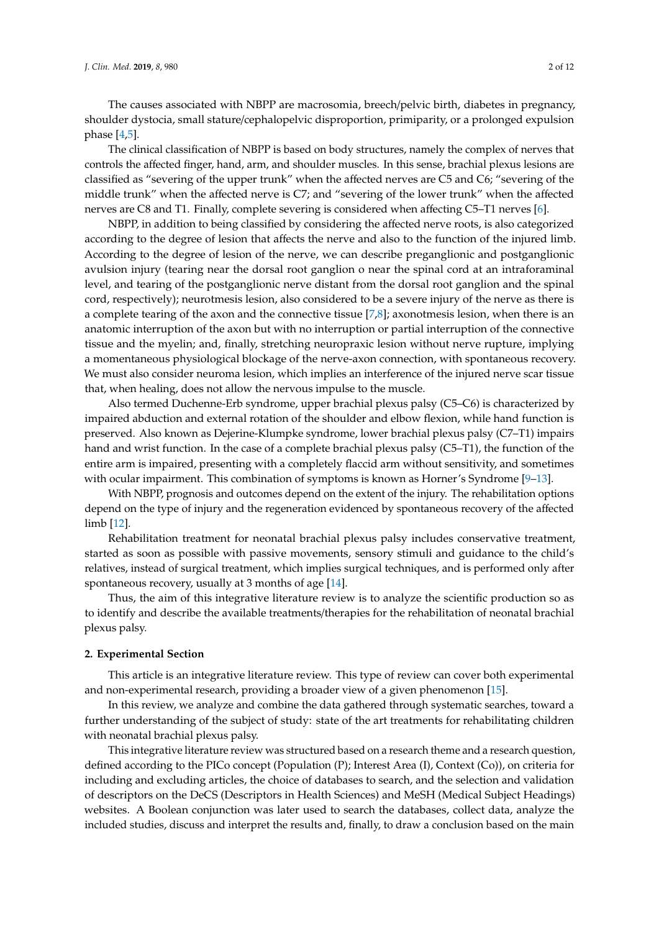The causes associated with NBPP are macrosomia, breech/pelvic birth, diabetes in pregnancy, shoulder dystocia, small stature/cephalopelvic disproportion, primiparity, or a prolonged expulsion phase [\[4](#page-9-2)[,5\]](#page-9-3).

The clinical classification of NBPP is based on body structures, namely the complex of nerves that controls the affected finger, hand, arm, and shoulder muscles. In this sense, brachial plexus lesions are classified as "severing of the upper trunk" when the affected nerves are C5 and C6; "severing of the middle trunk" when the affected nerve is C7; and "severing of the lower trunk" when the affected nerves are C8 and T1. Finally, complete severing is considered when affecting C5–T1 nerves [\[6\]](#page-10-0).

NBPP, in addition to being classified by considering the affected nerve roots, is also categorized according to the degree of lesion that affects the nerve and also to the function of the injured limb. According to the degree of lesion of the nerve, we can describe preganglionic and postganglionic avulsion injury (tearing near the dorsal root ganglion o near the spinal cord at an intraforaminal level, and tearing of the postganglionic nerve distant from the dorsal root ganglion and the spinal cord, respectively); neurotmesis lesion, also considered to be a severe injury of the nerve as there is a complete tearing of the axon and the connective tissue [\[7,](#page-10-1)[8\]](#page-10-2); axonotmesis lesion, when there is an anatomic interruption of the axon but with no interruption or partial interruption of the connective tissue and the myelin; and, finally, stretching neuropraxic lesion without nerve rupture, implying a momentaneous physiological blockage of the nerve-axon connection, with spontaneous recovery. We must also consider neuroma lesion, which implies an interference of the injured nerve scar tissue that, when healing, does not allow the nervous impulse to the muscle.

Also termed Duchenne-Erb syndrome, upper brachial plexus palsy (C5–C6) is characterized by impaired abduction and external rotation of the shoulder and elbow flexion, while hand function is preserved. Also known as Dejerine-Klumpke syndrome, lower brachial plexus palsy (C7–T1) impairs hand and wrist function. In the case of a complete brachial plexus palsy (C5–T1), the function of the entire arm is impaired, presenting with a completely flaccid arm without sensitivity, and sometimes with ocular impairment. This combination of symptoms is known as Horner's Syndrome [\[9–](#page-10-3)[13\]](#page-10-4).

With NBPP, prognosis and outcomes depend on the extent of the injury. The rehabilitation options depend on the type of injury and the regeneration evidenced by spontaneous recovery of the affected limb [\[12\]](#page-10-5).

Rehabilitation treatment for neonatal brachial plexus palsy includes conservative treatment, started as soon as possible with passive movements, sensory stimuli and guidance to the child's relatives, instead of surgical treatment, which implies surgical techniques, and is performed only after spontaneous recovery, usually at 3 months of age [\[14\]](#page-10-6).

Thus, the aim of this integrative literature review is to analyze the scientific production so as to identify and describe the available treatments/therapies for the rehabilitation of neonatal brachial plexus palsy.

#### **2. Experimental Section**

This article is an integrative literature review. This type of review can cover both experimental and non-experimental research, providing a broader view of a given phenomenon [\[15\]](#page-10-7).

In this review, we analyze and combine the data gathered through systematic searches, toward a further understanding of the subject of study: state of the art treatments for rehabilitating children with neonatal brachial plexus palsy.

This integrative literature review was structured based on a research theme and a research question, defined according to the PICo concept (Population (P); Interest Area (I), Context (Co)), on criteria for including and excluding articles, the choice of databases to search, and the selection and validation of descriptors on the DeCS (Descriptors in Health Sciences) and MeSH (Medical Subject Headings) websites. A Boolean conjunction was later used to search the databases, collect data, analyze the included studies, discuss and interpret the results and, finally, to draw a conclusion based on the main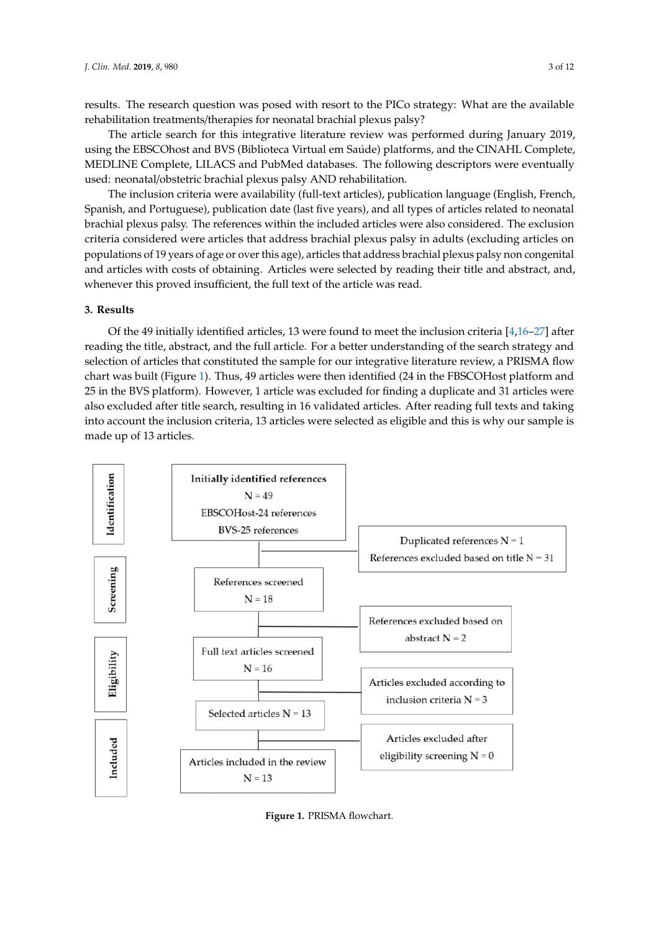results. The research question was posed with resort to the PICo strategy: What are the available on the main results. The results of process with please with research to the PICO strategy: What are the main<br>rehabilitation treatments/therapies for neonatal brachial plexus palsy?

The article search for this integrative literature review was performed during January 2019, The article search for this integrative increased review was performed during January 2019,<br>using the EBSCOhost and BVS (Biblioteca Virtual em Saúde) platforms, and the CINAHL Complete, MEDLINE Complete, LILACS and PubMed databases. The following descriptors were eventually MEDLINE Complete, LILACS and PubMed databases. The following descriptors were eventually used: neonatal/obstetric brachial plexus palsy AND rehabilitation. used: neonatal/obstetric brachial plexus palsy AND rehabilitation.  $\frac{1}{2}$  using the EBSCO does the EBSCO  $\frac{1}{2}$  is  $\frac{1}{2}$  in  $\frac{1}{2}$  in  $\frac{1}{2}$  in  $\frac{1}{2}$  in  $\frac{1}{2}$  in  $\frac{1}{2}$  in  $\frac{1}{2}$  in  $\frac{1}{2}$  in  $\frac{1}{2}$  in  $\frac{1}{2}$  in  $\frac{1}{2}$  in  $\frac{1}{2}$  in  $\frac{1}{2}$  i

The inclusion criteria were availability (full-text articles), publication language (English, French, The inclusion criteria were availability (full-text articles), publication language (English, French, Spanish, and Portuguese), publication date (last five years), and all types of articles related to neonatal Spanish, and Portuguese), publication date (last five years), and all types of articles related to brachial plexus palsy. The references within the included articles were also considered. The exclusion criteria considered were articles that address brachial plexus palsy in adults (excluding articles on populations of 19 years of age or over this age), articles that address brachial plexus palsy non congenital and articles with costs of obtaining. Articles were selected by reading their title and abstract, and, whenever this proved insufficient, the full text of the article was read.

## **3. Results 3. Results**

Of the 49 initially identified articles, 13 were found to meet the inclusion criteria [\[4,](#page-9-2)[16–](#page-10-8)[27\]](#page-10-9) after Of the 49 initially identified articles, 13 were found to meet the inclusion criteria [4,16–27] after reading the title, abstract, and the full article. For a better understanding of the search strategy and selection of articles that constituted the sample for our integrative literature review, a PRISMA flow selection of articles that constituted the sample for our integrative literature review, a PRISMA flow chart was built (Figure [1\)](#page-2-0). Thus, 49 articles were then identified (24 in the FBSCOHost platform and chart was built (Figure 1). Thus, 49 articles were then identified (24 in the FBSCOHost platform and 25 in the BVS platform). However, 1 article was excluded for finding a duplicate and 31 articles were 25 in the BVS platform). However, 1 article was excluded for finding a duplicate and 31 articles were also excluded after title search, resulting in 16 validated articles. After reading full texts and taking also excluded after title search, resulting in 16 validated articles. After reading full texts and taking into account the inclusion criteria, 13 articles were selected as eligible and this is why our sample is into account the inclusion criteria, 13 articles were selected as eligible and this is why our sample is made up of 13 articles. made up of 13 articles.

<span id="page-2-0"></span>

**Figure 1.** PRISMA flowchart. **Figure 1.** PRISMA flowchart.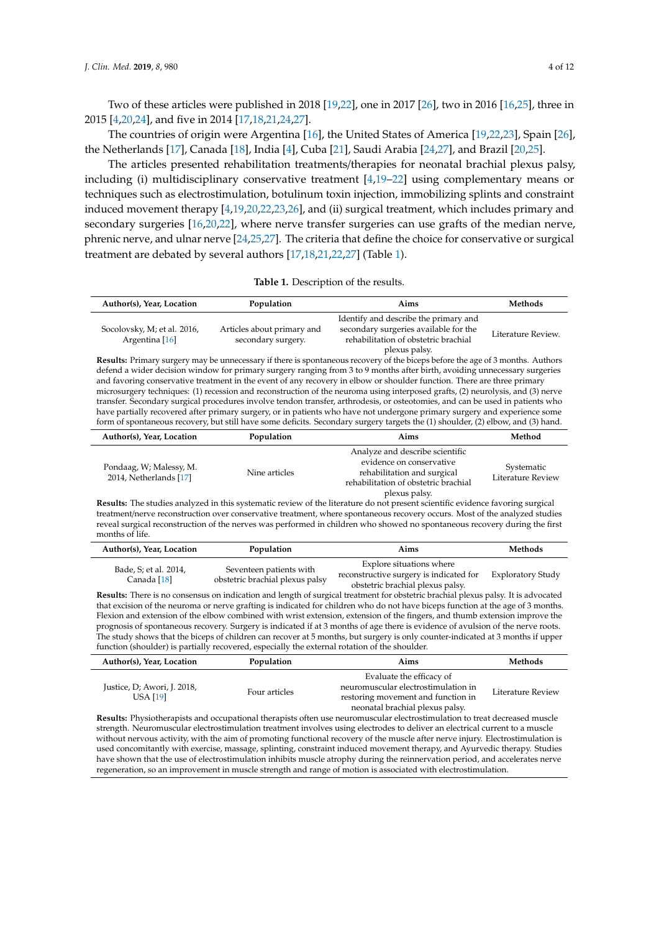Two of these articles were published in 2018 [\[19](#page-10-10)[,22\]](#page-10-11), one in 2017 [\[26\]](#page-10-12), two in 2016 [\[16](#page-10-8)[,25\]](#page-10-13), three in 2015 [\[4](#page-9-2)[,20,](#page-10-14)[24\]](#page-10-15), and five in 2014 [\[17,](#page-10-16)[18,](#page-10-17)[21,](#page-10-18)[24](#page-10-15)[,27\]](#page-10-9).

The countries of origin were Argentina [\[16\]](#page-10-8), the United States of America [\[19,](#page-10-10)[22,](#page-10-11)[23\]](#page-10-19), Spain [\[26\]](#page-10-12), the Netherlands [\[17\]](#page-10-16), Canada [\[18\]](#page-10-17), India [\[4\]](#page-9-2), Cuba [\[21\]](#page-10-18), Saudi Arabia [\[24,](#page-10-15)[27\]](#page-10-9), and Brazil [\[20,](#page-10-14)[25\]](#page-10-13).

The articles presented rehabilitation treatments/therapies for neonatal brachial plexus palsy, including (i) multidisciplinary conservative treatment [\[4](#page-9-2)[,19–](#page-10-10)[22\]](#page-10-11) using complementary means or techniques such as electrostimulation, botulinum toxin injection, immobilizing splints and constraint induced movement therapy [\[4,](#page-9-2)[19](#page-10-10)[,20](#page-10-14)[,22](#page-10-11)[,23,](#page-10-19)[26\]](#page-10-12), and (ii) surgical treatment, which includes primary and secondary surgeries [\[16](#page-10-8)[,20](#page-10-14)[,22\]](#page-10-11), where nerve transfer surgeries can use grafts of the median nerve, phrenic nerve, and ulnar nerve [\[24](#page-10-15)[,25](#page-10-13)[,27\]](#page-10-9). The criteria that define the choice for conservative or surgical treatment are debated by several authors [\[17,](#page-10-16)[18,](#page-10-17)[21,](#page-10-18)[22,](#page-10-11)[27\]](#page-10-9) (Table [1\)](#page-6-0).

| <b>Table 1.</b> Description of the results. |
|---------------------------------------------|
|---------------------------------------------|

| Author(s), Year, Location                     | Population                                       | Aims                                                                                                                                    | <b>Methods</b>     |
|-----------------------------------------------|--------------------------------------------------|-----------------------------------------------------------------------------------------------------------------------------------------|--------------------|
| Socolovsky, M; et al. 2016,<br>Argentina [16] | Articles about primary and<br>secondary surgery. | Identify and describe the primary and<br>secondary surgeries available for the<br>rehabilitation of obstetric brachial<br>plexus palsy. | Literature Review. |

**Results:** Primary surgery may be unnecessary if there is spontaneous recovery of the biceps before the age of 3 months. Authors defend a wider decision window for primary surgery ranging from 3 to 9 months after birth, avoiding unnecessary surgeries and favoring conservative treatment in the event of any recovery in elbow or shoulder function. There are three primary microsurgery techniques: (1) recession and reconstruction of the neuroma using interposed grafts, (2) neurolysis, and (3) nerve transfer. Secondary surgical procedures involve tendon transfer, arthrodesis, or osteotomies, and can be used in patients who have partially recovered after primary surgery, or in patients who have not undergone primary surgery and experience some form of spontaneous recovery, but still have some deficits. Secondary surgery targets the (1) shoulder, (2) elbow, and (3) hand.

| Author(s), Year, Location                         | Population    | Aims                                                                                                                                                | Method                          |
|---------------------------------------------------|---------------|-----------------------------------------------------------------------------------------------------------------------------------------------------|---------------------------------|
| Pondaag, W; Malessy, M.<br>2014, Netherlands [17] | Nine articles | Analyze and describe scientific<br>evidence on conservative<br>rehabilitation and surgical<br>rehabilitation of obstetric brachial<br>plexus palsy. | Systematic<br>Literature Review |

**Results:** The studies analyzed in this systematic review of the literature do not present scientific evidence favoring surgical treatment/nerve reconstruction over conservative treatment, where spontaneous recovery occurs. Most of the analyzed studies reveal surgical reconstruction of the nerves was performed in children who showed no spontaneous recovery during the first months of life.

| Author(s), Year, Location            | Population                                                 | Aims                                                                                                    | Methods           |
|--------------------------------------|------------------------------------------------------------|---------------------------------------------------------------------------------------------------------|-------------------|
| Bade, S; et al. 2014,<br>Canada [18] | Seventeen patients with<br>obstetric brachial plexus palsy | Explore situations where<br>reconstructive surgery is indicated for<br>obstetric brachial plexus palsy. | Exploratory Study |

**Results:** There is no consensus on indication and length of surgical treatment for obstetric brachial plexus palsy. It is advocated that excision of the neuroma or nerve grafting is indicated for children who do not have biceps function at the age of 3 months. Flexion and extension of the elbow combined with wrist extension, extension of the fingers, and thumb extension improve the prognosis of spontaneous recovery. Surgery is indicated if at 3 months of age there is evidence of avulsion of the nerve roots. The study shows that the biceps of children can recover at 5 months, but surgery is only counter-indicated at 3 months if upper function (shoulder) is partially recovered, especially the external rotation of the shoulder.

| Author(s), Year, Location                      | Population    | Aims                                                                                                                                     | Methods           |
|------------------------------------------------|---------------|------------------------------------------------------------------------------------------------------------------------------------------|-------------------|
| Justice, D; Awori, J. 2018,<br><b>USA</b> [19] | Four articles | Evaluate the efficacy of<br>neuromuscular electrostimulation in<br>restoring movement and function in<br>neonatal brachial plexus palsy. | Literature Review |

**Results:** Physiotherapists and occupational therapists often use neuromuscular electrostimulation to treat decreased muscle strength. Neuromuscular electrostimulation treatment involves using electrodes to deliver an electrical current to a muscle without nervous activity, with the aim of promoting functional recovery of the muscle after nerve injury. Electrostimulation is used concomitantly with exercise, massage, splinting, constraint induced movement therapy, and Ayurvedic therapy. Studies have shown that the use of electrostimulation inhibits muscle atrophy during the reinnervation period, and accelerates nerve regeneration, so an improvement in muscle strength and range of motion is associated with electrostimulation.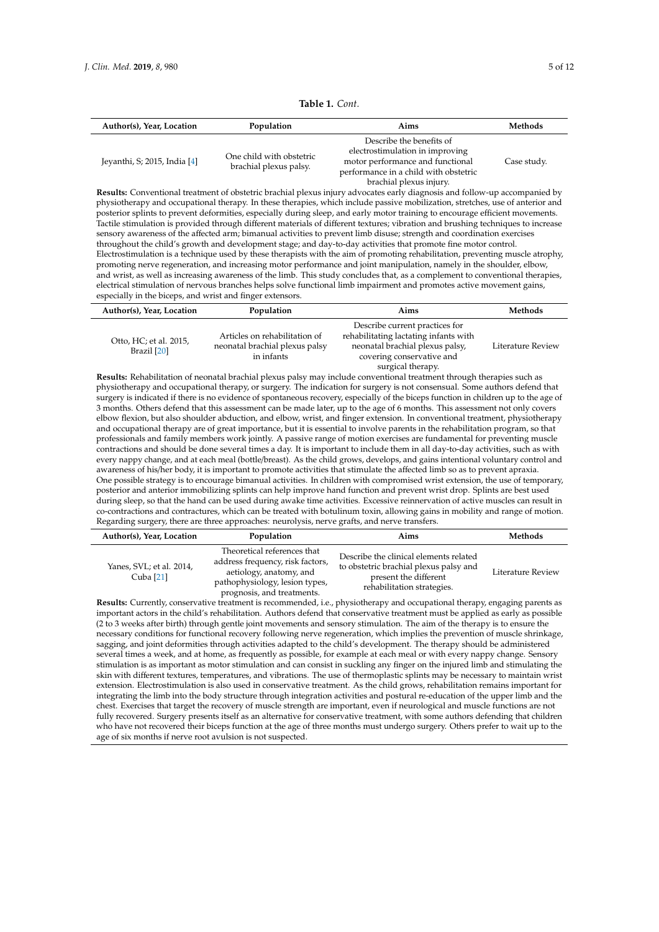|  | <b>Table 1.</b> Cont. |
|--|-----------------------|
|  |                       |

| Author(s), Year, Location      | Population                                         | Aims                                                                                                                                                                | Methods     |
|--------------------------------|----------------------------------------------------|---------------------------------------------------------------------------------------------------------------------------------------------------------------------|-------------|
| Jeyanthi, S; 2015, India $[4]$ | One child with obstetric<br>brachial plexus palsy. | Describe the benefits of<br>electrostimulation in improving<br>motor performance and functional<br>performance in a child with obstetric<br>brachial plexus injury. | Case study. |

**Results:** Conventional treatment of obstetric brachial plexus injury advocates early diagnosis and follow-up accompanied by physiotherapy and occupational therapy. In these therapies, which include passive mobilization, stretches, use of anterior and posterior splints to prevent deformities, especially during sleep, and early motor training to encourage efficient movements. Tactile stimulation is provided through different materials of different textures; vibration and brushing techniques to increase sensory awareness of the affected arm; bimanual activities to prevent limb disuse; strength and coordination exercises throughout the child's growth and development stage; and day-to-day activities that promote fine motor control. Electrostimulation is a technique used by these therapists with the aim of promoting rehabilitation, preventing muscle atrophy, promoting nerve regeneration, and increasing motor performance and joint manipulation, namely in the shoulder, elbow, and wrist, as well as increasing awareness of the limb. This study concludes that, as a complement to conventional therapies, electrical stimulation of nervous branches helps solve functional limb impairment and promotes active movement gains, especially in the biceps, and wrist and finger extensors.

| Author(s), Year, Location             | Population                                                                    | Aims                                                                                                                                                         | <b>Methods</b>    |
|---------------------------------------|-------------------------------------------------------------------------------|--------------------------------------------------------------------------------------------------------------------------------------------------------------|-------------------|
| Otto, HC; et al. 2015,<br>Brazil [20] | Articles on rehabilitation of<br>neonatal brachial plexus palsy<br>in infants | Describe current practices for<br>rehabilitating lactating infants with<br>neonatal brachial plexus palsy,<br>covering conservative and<br>surgical therapy. | Literature Review |

**Results:** Rehabilitation of neonatal brachial plexus palsy may include conventional treatment through therapies such as physiotherapy and occupational therapy, or surgery. The indication for surgery is not consensual. Some authors defend that surgery is indicated if there is no evidence of spontaneous recovery, especially of the biceps function in children up to the age of 3 months. Others defend that this assessment can be made later, up to the age of 6 months. This assessment not only covers elbow flexion, but also shoulder abduction, and elbow, wrist, and finger extension. In conventional treatment, physiotherapy and occupational therapy are of great importance, but it is essential to involve parents in the rehabilitation program, so that professionals and family members work jointly. A passive range of motion exercises are fundamental for preventing muscle contractions and should be done several times a day. It is important to include them in all day-to-day activities, such as with every nappy change, and at each meal (bottle/breast). As the child grows, develops, and gains intentional voluntary control and awareness of his/her body, it is important to promote activities that stimulate the affected limb so as to prevent apraxia. One possible strategy is to encourage bimanual activities. In children with compromised wrist extension, the use of temporary, posterior and anterior immobilizing splints can help improve hand function and prevent wrist drop. Splints are best used during sleep, so that the hand can be used during awake time activities. Excessive reinnervation of active muscles can result in co-contractions and contractures, which can be treated with botulinum toxin, allowing gains in mobility and range of motion. Regarding surgery, there are three approaches: neurolysis, nerve grafts, and nerve transfers.

| Author(s), Year, Location               | Population                                                                                                                                                 | Aims                                                                                                                                    | <b>Methods</b>    |
|-----------------------------------------|------------------------------------------------------------------------------------------------------------------------------------------------------------|-----------------------------------------------------------------------------------------------------------------------------------------|-------------------|
| Yanes, SVL; et al. 2014,<br>Cuba $[21]$ | Theoretical references that<br>address frequency, risk factors,<br>aetiology, anatomy, and<br>pathophysiology, lesion types,<br>prognosis, and treatments. | Describe the clinical elements related<br>to obstetric brachial plexus palsy and<br>present the different<br>rehabilitation strategies. | Literature Review |

**Results:** Currently, conservative treatment is recommended, i.e., physiotherapy and occupational therapy, engaging parents as important actors in the child's rehabilitation. Authors defend that conservative treatment must be applied as early as possible (2 to 3 weeks after birth) through gentle joint movements and sensory stimulation. The aim of the therapy is to ensure the necessary conditions for functional recovery following nerve regeneration, which implies the prevention of muscle shrinkage, sagging, and joint deformities through activities adapted to the child's development. The therapy should be administered several times a week, and at home, as frequently as possible, for example at each meal or with every nappy change. Sensory stimulation is as important as motor stimulation and can consist in suckling any finger on the injured limb and stimulating the skin with different textures, temperatures, and vibrations. The use of thermoplastic splints may be necessary to maintain wrist extension. Electrostimulation is also used in conservative treatment. As the child grows, rehabilitation remains important for integrating the limb into the body structure through integration activities and postural re-education of the upper limb and the chest. Exercises that target the recovery of muscle strength are important, even if neurological and muscle functions are not fully recovered. Surgery presents itself as an alternative for conservative treatment, with some authors defending that children who have not recovered their biceps function at the age of three months must undergo surgery. Others prefer to wait up to the age of six months if nerve root avulsion is not suspected.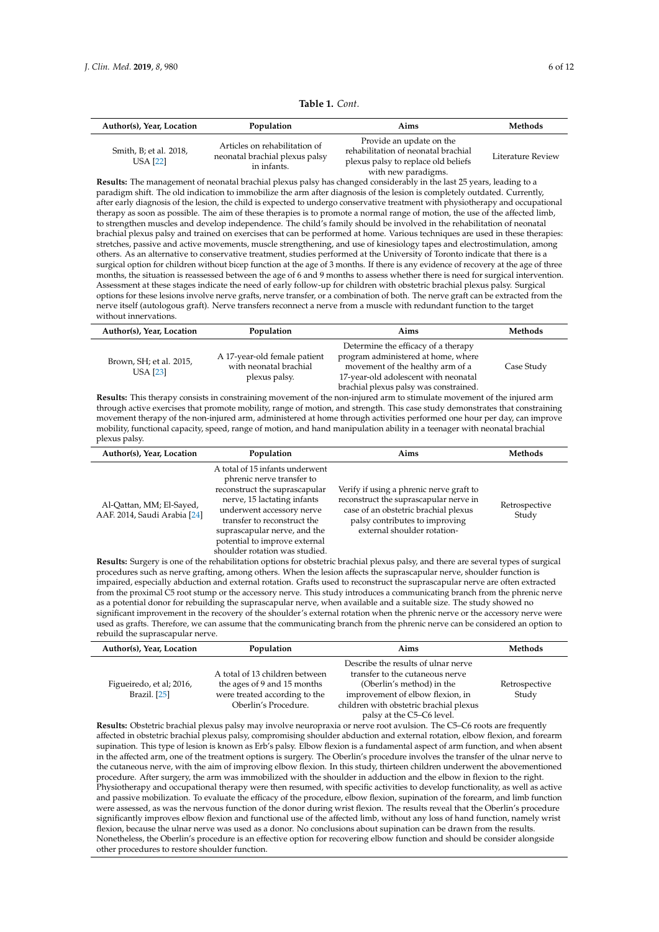|  | <b>Table 1.</b> Cont. |
|--|-----------------------|
|  |                       |

| Author(s), Year, Location                 | Population                                                                     | Aims                                                                                                                          | <b>Methods</b>    |
|-------------------------------------------|--------------------------------------------------------------------------------|-------------------------------------------------------------------------------------------------------------------------------|-------------------|
| Smith, B; et al. 2018,<br><b>USA</b> [22] | Articles on rehabilitation of<br>neonatal brachial plexus palsy<br>in infants. | Provide an update on the<br>rehabilitation of neonatal brachial<br>plexus palsy to replace old beliefs<br>with new paradigms. | Literature Review |

**Results:** The management of neonatal brachial plexus palsy has changed considerably in the last 25 years, leading to a paradigm shift. The old indication to immobilize the arm after diagnosis of the lesion is completely outdated. Currently, after early diagnosis of the lesion, the child is expected to undergo conservative treatment with physiotherapy and occupational therapy as soon as possible. The aim of these therapies is to promote a normal range of motion, the use of the affected limb, to strengthen muscles and develop independence. The child's family should be involved in the rehabilitation of neonatal brachial plexus palsy and trained on exercises that can be performed at home. Various techniques are used in these therapies: stretches, passive and active movements, muscle strengthening, and use of kinesiology tapes and electrostimulation, among others. As an alternative to conservative treatment, studies performed at the University of Toronto indicate that there is a surgical option for children without bicep function at the age of 3 months. If there is any evidence of recovery at the age of three months, the situation is reassessed between the age of 6 and 9 months to assess whether there is need for surgical intervention. Assessment at these stages indicate the need of early follow-up for children with obstetric brachial plexus palsy. Surgical options for these lesions involve nerve grafts, nerve transfer, or a combination of both. The nerve graft can be extracted from the nerve itself (autologous graft). Nerve transfers reconnect a nerve from a muscle with redundant function to the target without innervations.

| Author(s), Year, Location                  | Population                                                              | Aims                                                                                                                                                                                             | Methods    |
|--------------------------------------------|-------------------------------------------------------------------------|--------------------------------------------------------------------------------------------------------------------------------------------------------------------------------------------------|------------|
| Brown, SH; et al. 2015,<br><b>USA</b> [23] | A 17-year-old female patient<br>with neonatal brachial<br>plexus palsy. | Determine the efficacy of a therapy<br>program administered at home, where<br>movement of the healthy arm of a<br>17-year-old adolescent with neonatal<br>brachial plexus palsy was constrained. | Case Study |

**Results:** This therapy consists in constraining movement of the non-injured arm to stimulate movement of the injured arm through active exercises that promote mobility, range of motion, and strength. This case study demonstrates that constraining movement therapy of the non-injured arm, administered at home through activities performed one hour per day, can improve mobility, functional capacity, speed, range of motion, and hand manipulation ability in a teenager with neonatal brachial plexus palsy.

| Author(s), Year, Location                                | Population                                                                                                                                                                                                                                                                                  | Aims                                                                                                                                                                                        | Methods                |
|----------------------------------------------------------|---------------------------------------------------------------------------------------------------------------------------------------------------------------------------------------------------------------------------------------------------------------------------------------------|---------------------------------------------------------------------------------------------------------------------------------------------------------------------------------------------|------------------------|
| Al-Qattan, MM; El-Sayed,<br>AAF. 2014, Saudi Arabia [24] | A total of 15 infants underwent<br>phrenic nerve transfer to<br>reconstruct the suprascapular<br>nerve, 15 lactating infants<br>underwent accessory nerve<br>transfer to reconstruct the<br>suprascapular nerve, and the<br>potential to improve external<br>shoulder rotation was studied. | Verify if using a phrenic nerve graft to<br>reconstruct the suprascapular nerve in<br>case of an obstetric brachial plexus<br>palsy contributes to improving<br>external shoulder rotation- | Retrospective<br>Study |

**Results:** Surgery is one of the rehabilitation options for obstetric brachial plexus palsy, and there are several types of surgical procedures such as nerve grafting, among others. When the lesion affects the suprascapular nerve, shoulder function is impaired, especially abduction and external rotation. Grafts used to reconstruct the suprascapular nerve are often extracted from the proximal C5 root stump or the accessory nerve. This study introduces a communicating branch from the phrenic nerve as a potential donor for rebuilding the suprascapular nerve, when available and a suitable size. The study showed no significant improvement in the recovery of the shoulder's external rotation when the phrenic nerve or the accessory nerve were used as grafts. Therefore, we can assume that the communicating branch from the phrenic nerve can be considered an option to rebuild the suprascapular nerve.

| Author(s), Year, Location                  | Population                                                                                                             | Aims                                                                                                                                                                                                            | Methods                |
|--------------------------------------------|------------------------------------------------------------------------------------------------------------------------|-----------------------------------------------------------------------------------------------------------------------------------------------------------------------------------------------------------------|------------------------|
| Figueiredo, et al; 2016,<br>Brazil. $[25]$ | A total of 13 children between<br>the ages of 9 and 15 months<br>were treated according to the<br>Oberlin's Procedure. | Describe the results of ulnar nerve<br>transfer to the cutaneous nerve<br>(Oberlin's method) in the<br>improvement of elbow flexion, in<br>children with obstetric brachial plexus<br>palsy at the C5–C6 level. | Retrospective<br>Study |

**Results:** Obstetric brachial plexus palsy may involve neuropraxia or nerve root avulsion. The C5–C6 roots are frequently affected in obstetric brachial plexus palsy, compromising shoulder abduction and external rotation, elbow flexion, and forearm supination. This type of lesion is known as Erb's palsy. Elbow flexion is a fundamental aspect of arm function, and when absent in the affected arm, one of the treatment options is surgery. The Oberlin's procedure involves the transfer of the ulnar nerve to the cutaneous nerve, with the aim of improving elbow flexion. In this study, thirteen children underwent the abovementioned procedure. After surgery, the arm was immobilized with the shoulder in adduction and the elbow in flexion to the right. Physiotherapy and occupational therapy were then resumed, with specific activities to develop functionality, as well as active and passive mobilization. To evaluate the efficacy of the procedure, elbow flexion, supination of the forearm, and limb function were assessed, as was the nervous function of the donor during wrist flexion. The results reveal that the Oberlin's procedure significantly improves elbow flexion and functional use of the affected limb, without any loss of hand function, namely wrist flexion, because the ulnar nerve was used as a donor. No conclusions about supination can be drawn from the results. Nonetheless, the Oberlin's procedure is an effective option for recovering elbow function and should be consider alongside other procedures to restore shoulder function.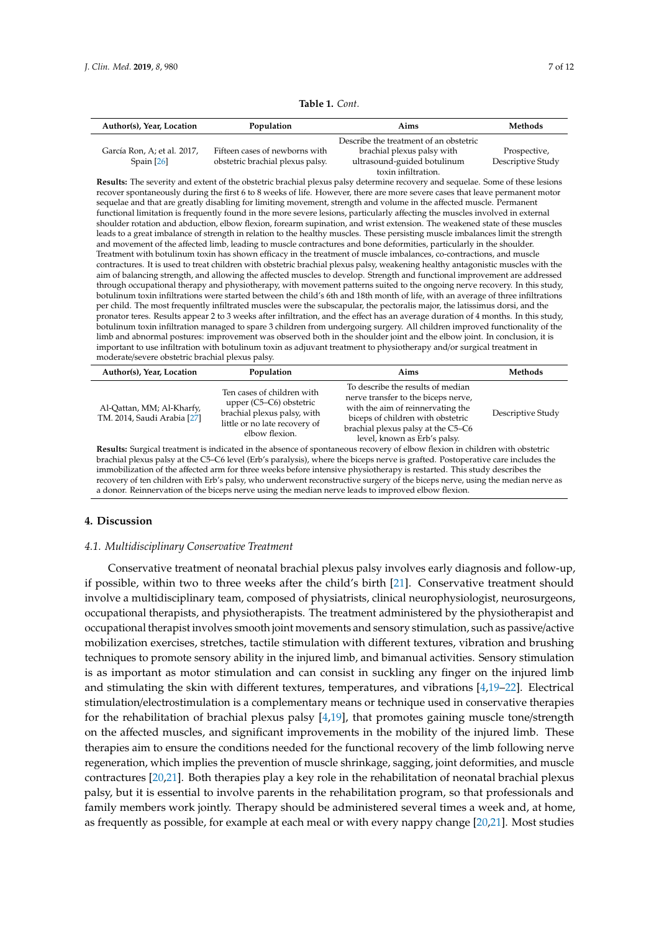|  | Table 1. Cont. |  |  |
|--|----------------|--|--|
|--|----------------|--|--|

<span id="page-6-0"></span>

| Author(s), Year, Location                        | Population                                                         | Aims                                                                                                                                                                                                                                                                                                                                                                                                                                                                                                                                                                                                                                                                                                                                                                                                                                                                                                                                                                                                                                                                                                                                                                                                                                                                                                                                                                                                                                         | Methods                           |
|--------------------------------------------------|--------------------------------------------------------------------|----------------------------------------------------------------------------------------------------------------------------------------------------------------------------------------------------------------------------------------------------------------------------------------------------------------------------------------------------------------------------------------------------------------------------------------------------------------------------------------------------------------------------------------------------------------------------------------------------------------------------------------------------------------------------------------------------------------------------------------------------------------------------------------------------------------------------------------------------------------------------------------------------------------------------------------------------------------------------------------------------------------------------------------------------------------------------------------------------------------------------------------------------------------------------------------------------------------------------------------------------------------------------------------------------------------------------------------------------------------------------------------------------------------------------------------------|-----------------------------------|
| García Ron, A; et al. 2017,<br>Spain $[26]$      | Fifteen cases of newborns with<br>obstetric brachial plexus palsy. | Describe the treatment of an obstetric<br>brachial plexus palsy with<br>ultrasound-guided botulinum<br>toxin infiltration.<br>Results: The severity and extent of the obstetric brachial plexus palsy determine recovery and sequelae. Some of these lesions<br>recover spontaneously during the first 6 to 8 weeks of life. However, there are more severe cases that leave permanent motor<br>sequelae and that are greatly disabling for limiting movement, strength and volume in the affected muscle. Permanent<br>functional limitation is frequently found in the more severe lesions, particularly affecting the muscles involved in external<br>shoulder rotation and abduction, elbow flexion, forearm supination, and wrist extension. The weakened state of these muscles<br>leads to a great imbalance of strength in relation to the healthy muscles. These persisting muscle imbalances limit the strength<br>and movement of the affected limb, leading to muscle contractures and bone deformities, particularly in the shoulder.<br>Treatment with botulinum toxin has shown efficacy in the treatment of muscle imbalances, co-contractions, and muscle<br>contractures. It is used to treat children with obstetric brachial plexus palsy, weakening healthy antagonistic muscles with the<br>aim of balancing strength, and allowing the affected muscles to develop. Strength and functional improvement are addressed | Prospective,<br>Descriptive Study |
| moderate/severe obstetric brachial plexus palsy. |                                                                    | through occupational therapy and physiotherapy, with movement patterns suited to the ongoing nerve recovery. In this study,<br>botulinum toxin infiltrations were started between the child's 6th and 18th month of life, with an average of three infiltrations<br>per child. The most frequently infiltrated muscles were the subscapular, the pectoralis major, the latissimus dorsi, and the<br>pronator teres. Results appear 2 to 3 weeks after infiltration, and the effect has an average duration of 4 months. In this study,<br>botulinum toxin infiltration managed to spare 3 children from undergoing surgery. All children improved functionality of the<br>limb and abnormal postures: improvement was observed both in the shoulder joint and the elbow joint. In conclusion, it is<br>important to use infiltration with botulinum toxin as adjuvant treatment to physiotherapy and/or surgical treatment in                                                                                                                                                                                                                                                                                                                                                                                                                                                                                                                |                                   |

| Author(s), Year, Location                                | Population                                                                                                                                | Aims                                                                                                                                                                                                                     | Methods           |
|----------------------------------------------------------|-------------------------------------------------------------------------------------------------------------------------------------------|--------------------------------------------------------------------------------------------------------------------------------------------------------------------------------------------------------------------------|-------------------|
| Al-Qattan, MM; Al-Kharfy,<br>TM. 2014, Saudi Arabia [27] | Ten cases of children with<br>upper $(C5-C6)$ obstetric<br>brachial plexus palsy, with<br>little or no late recovery of<br>elbow flexion. | To describe the results of median<br>nerve transfer to the biceps nerve,<br>with the aim of reinnervating the<br>biceps of children with obstetric<br>brachial plexus palsy at the C5–C6<br>level, known as Erb's palsy. | Descriptive Study |
|                                                          |                                                                                                                                           | <b>Results:</b> Surgical treatment is indicated in the absence of spontaneous recovery of elbow flexion in children with obstetric                                                                                       |                   |
|                                                          |                                                                                                                                           | brachial players palay at the C5, C6 level (Erb's paralysis), where the bicope perve is grafted. Pesteparative care includes the                                                                                         |                   |

brachial plexus palsy at the C5–C6 level (Erb's paralysis), where the biceps nerve is grafted. Postoperative care includes the immobilization of the affected arm for three weeks before intensive physiotherapy is restarted. This study describes the recovery of ten children with Erb's palsy, who underwent reconstructive surgery of the biceps nerve, using the median nerve as a donor. Reinnervation of the biceps nerve using the median nerve leads to improved elbow flexion.

#### **4. Discussion**

#### *4.1. Multidisciplinary Conservative Treatment*

Conservative treatment of neonatal brachial plexus palsy involves early diagnosis and follow-up, if possible, within two to three weeks after the child's birth [\[21\]](#page-10-18). Conservative treatment should involve a multidisciplinary team, composed of physiatrists, clinical neurophysiologist, neurosurgeons, occupational therapists, and physiotherapists. The treatment administered by the physiotherapist and occupational therapist involves smooth joint movements and sensory stimulation, such as passive/active mobilization exercises, stretches, tactile stimulation with different textures, vibration and brushing techniques to promote sensory ability in the injured limb, and bimanual activities. Sensory stimulation is as important as motor stimulation and can consist in suckling any finger on the injured limb and stimulating the skin with different textures, temperatures, and vibrations [\[4](#page-9-2)[,19](#page-10-10)[–22\]](#page-10-11). Electrical stimulation/electrostimulation is a complementary means or technique used in conservative therapies for the rehabilitation of brachial plexus palsy [\[4](#page-9-2)[,19\]](#page-10-10), that promotes gaining muscle tone/strength on the affected muscles, and significant improvements in the mobility of the injured limb. These therapies aim to ensure the conditions needed for the functional recovery of the limb following nerve regeneration, which implies the prevention of muscle shrinkage, sagging, joint deformities, and muscle contractures [\[20](#page-10-14)[,21\]](#page-10-18). Both therapies play a key role in the rehabilitation of neonatal brachial plexus palsy, but it is essential to involve parents in the rehabilitation program, so that professionals and family members work jointly. Therapy should be administered several times a week and, at home, as frequently as possible, for example at each meal or with every nappy change [\[20,](#page-10-14)[21\]](#page-10-18). Most studies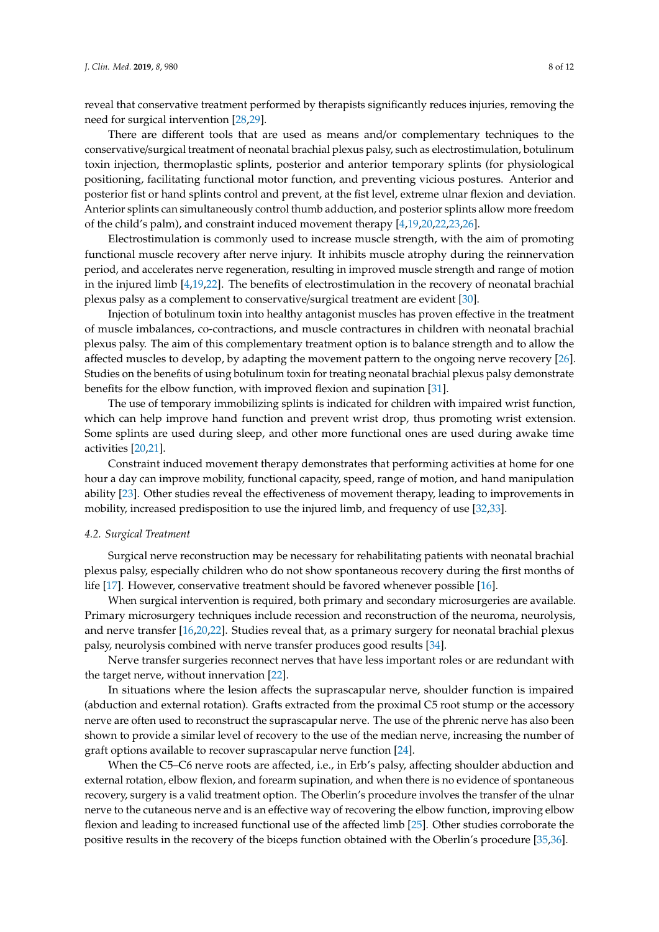reveal that conservative treatment performed by therapists significantly reduces injuries, removing the need for surgical intervention [\[28](#page-10-20)[,29\]](#page-10-21).

There are different tools that are used as means and/or complementary techniques to the conservative/surgical treatment of neonatal brachial plexus palsy, such as electrostimulation, botulinum toxin injection, thermoplastic splints, posterior and anterior temporary splints (for physiological positioning, facilitating functional motor function, and preventing vicious postures. Anterior and posterior fist or hand splints control and prevent, at the fist level, extreme ulnar flexion and deviation. Anterior splints can simultaneously control thumb adduction, and posterior splints allow more freedom of the child's palm), and constraint induced movement therapy [\[4](#page-9-2)[,19](#page-10-10)[,20](#page-10-14)[,22,](#page-10-11)[23,](#page-10-19)[26\]](#page-10-12).

Electrostimulation is commonly used to increase muscle strength, with the aim of promoting functional muscle recovery after nerve injury. It inhibits muscle atrophy during the reinnervation period, and accelerates nerve regeneration, resulting in improved muscle strength and range of motion in the injured limb [\[4](#page-9-2)[,19](#page-10-10)[,22\]](#page-10-11). The benefits of electrostimulation in the recovery of neonatal brachial plexus palsy as a complement to conservative/surgical treatment are evident [\[30\]](#page-10-22).

Injection of botulinum toxin into healthy antagonist muscles has proven effective in the treatment of muscle imbalances, co-contractions, and muscle contractures in children with neonatal brachial plexus palsy. The aim of this complementary treatment option is to balance strength and to allow the affected muscles to develop, by adapting the movement pattern to the ongoing nerve recovery [\[26\]](#page-10-12). Studies on the benefits of using botulinum toxin for treating neonatal brachial plexus palsy demonstrate benefits for the elbow function, with improved flexion and supination [\[31\]](#page-11-0).

The use of temporary immobilizing splints is indicated for children with impaired wrist function, which can help improve hand function and prevent wrist drop, thus promoting wrist extension. Some splints are used during sleep, and other more functional ones are used during awake time activities [\[20,](#page-10-14)[21\]](#page-10-18).

Constraint induced movement therapy demonstrates that performing activities at home for one hour a day can improve mobility, functional capacity, speed, range of motion, and hand manipulation ability [\[23\]](#page-10-19). Other studies reveal the effectiveness of movement therapy, leading to improvements in mobility, increased predisposition to use the injured limb, and frequency of use [\[32,](#page-11-1)[33\]](#page-11-2).

#### *4.2. Surgical Treatment*

Surgical nerve reconstruction may be necessary for rehabilitating patients with neonatal brachial plexus palsy, especially children who do not show spontaneous recovery during the first months of life [\[17\]](#page-10-16). However, conservative treatment should be favored whenever possible [\[16\]](#page-10-8).

When surgical intervention is required, both primary and secondary microsurgeries are available. Primary microsurgery techniques include recession and reconstruction of the neuroma, neurolysis, and nerve transfer [\[16,](#page-10-8)[20,](#page-10-14)[22\]](#page-10-11). Studies reveal that, as a primary surgery for neonatal brachial plexus palsy, neurolysis combined with nerve transfer produces good results [\[34\]](#page-11-3).

Nerve transfer surgeries reconnect nerves that have less important roles or are redundant with the target nerve, without innervation [\[22\]](#page-10-11).

In situations where the lesion affects the suprascapular nerve, shoulder function is impaired (abduction and external rotation). Grafts extracted from the proximal C5 root stump or the accessory nerve are often used to reconstruct the suprascapular nerve. The use of the phrenic nerve has also been shown to provide a similar level of recovery to the use of the median nerve, increasing the number of graft options available to recover suprascapular nerve function [\[24\]](#page-10-15).

When the C5–C6 nerve roots are affected, i.e., in Erb's palsy, affecting shoulder abduction and external rotation, elbow flexion, and forearm supination, and when there is no evidence of spontaneous recovery, surgery is a valid treatment option. The Oberlin's procedure involves the transfer of the ulnar nerve to the cutaneous nerve and is an effective way of recovering the elbow function, improving elbow flexion and leading to increased functional use of the affected limb [\[25\]](#page-10-13). Other studies corroborate the positive results in the recovery of the biceps function obtained with the Oberlin's procedure [\[35,](#page-11-4)[36\]](#page-11-5).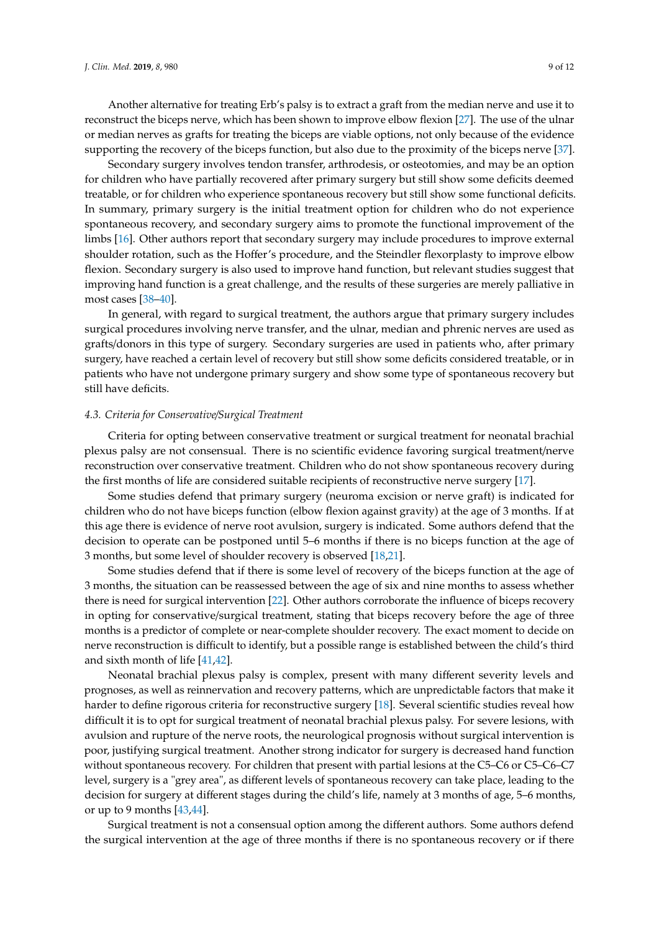Another alternative for treating Erb's palsy is to extract a graft from the median nerve and use it to reconstruct the biceps nerve, which has been shown to improve elbow flexion [\[27\]](#page-10-9). The use of the ulnar or median nerves as grafts for treating the biceps are viable options, not only because of the evidence supporting the recovery of the biceps function, but also due to the proximity of the biceps nerve [\[37\]](#page-11-6).

Secondary surgery involves tendon transfer, arthrodesis, or osteotomies, and may be an option for children who have partially recovered after primary surgery but still show some deficits deemed treatable, or for children who experience spontaneous recovery but still show some functional deficits. In summary, primary surgery is the initial treatment option for children who do not experience spontaneous recovery, and secondary surgery aims to promote the functional improvement of the limbs [\[16\]](#page-10-8). Other authors report that secondary surgery may include procedures to improve external shoulder rotation, such as the Hoffer's procedure, and the Steindler flexorplasty to improve elbow flexion. Secondary surgery is also used to improve hand function, but relevant studies suggest that improving hand function is a great challenge, and the results of these surgeries are merely palliative in most cases [\[38](#page-11-7)[–40\]](#page-11-8).

In general, with regard to surgical treatment, the authors argue that primary surgery includes surgical procedures involving nerve transfer, and the ulnar, median and phrenic nerves are used as grafts/donors in this type of surgery. Secondary surgeries are used in patients who, after primary surgery, have reached a certain level of recovery but still show some deficits considered treatable, or in patients who have not undergone primary surgery and show some type of spontaneous recovery but still have deficits.

#### *4.3. Criteria for Conservative*/*Surgical Treatment*

Criteria for opting between conservative treatment or surgical treatment for neonatal brachial plexus palsy are not consensual. There is no scientific evidence favoring surgical treatment/nerve reconstruction over conservative treatment. Children who do not show spontaneous recovery during the first months of life are considered suitable recipients of reconstructive nerve surgery [\[17\]](#page-10-16).

Some studies defend that primary surgery (neuroma excision or nerve graft) is indicated for children who do not have biceps function (elbow flexion against gravity) at the age of 3 months. If at this age there is evidence of nerve root avulsion, surgery is indicated. Some authors defend that the decision to operate can be postponed until 5–6 months if there is no biceps function at the age of 3 months, but some level of shoulder recovery is observed [\[18,](#page-10-17)[21\]](#page-10-18).

Some studies defend that if there is some level of recovery of the biceps function at the age of 3 months, the situation can be reassessed between the age of six and nine months to assess whether there is need for surgical intervention [\[22\]](#page-10-11). Other authors corroborate the influence of biceps recovery in opting for conservative/surgical treatment, stating that biceps recovery before the age of three months is a predictor of complete or near-complete shoulder recovery. The exact moment to decide on nerve reconstruction is difficult to identify, but a possible range is established between the child's third and sixth month of life [\[41,](#page-11-9)[42\]](#page-11-10).

Neonatal brachial plexus palsy is complex, present with many different severity levels and prognoses, as well as reinnervation and recovery patterns, which are unpredictable factors that make it harder to define rigorous criteria for reconstructive surgery [\[18\]](#page-10-17). Several scientific studies reveal how difficult it is to opt for surgical treatment of neonatal brachial plexus palsy. For severe lesions, with avulsion and rupture of the nerve roots, the neurological prognosis without surgical intervention is poor, justifying surgical treatment. Another strong indicator for surgery is decreased hand function without spontaneous recovery. For children that present with partial lesions at the C5–C6 or C5–C6–C7 level, surgery is a "grey area", as different levels of spontaneous recovery can take place, leading to the decision for surgery at different stages during the child's life, namely at 3 months of age, 5–6 months, or up to 9 months [\[43,](#page-11-11)[44\]](#page-11-12).

Surgical treatment is not a consensual option among the different authors. Some authors defend the surgical intervention at the age of three months if there is no spontaneous recovery or if there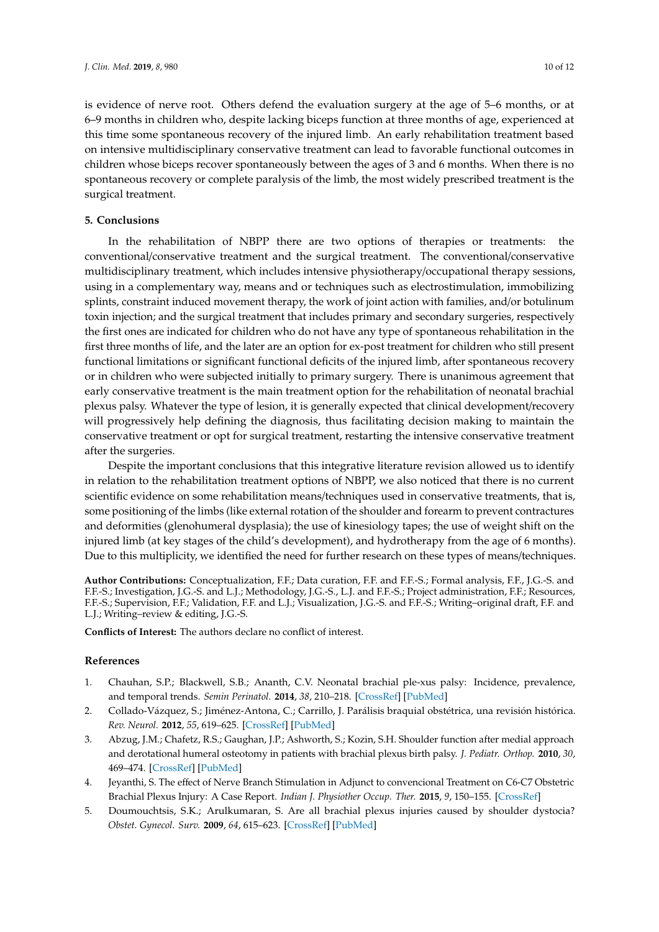is evidence of nerve root. Others defend the evaluation surgery at the age of 5–6 months, or at 6–9 months in children who, despite lacking biceps function at three months of age, experienced at this time some spontaneous recovery of the injured limb. An early rehabilitation treatment based on intensive multidisciplinary conservative treatment can lead to favorable functional outcomes in children whose biceps recover spontaneously between the ages of 3 and 6 months. When there is no spontaneous recovery or complete paralysis of the limb, the most widely prescribed treatment is the surgical treatment.

#### **5. Conclusions**

In the rehabilitation of NBPP there are two options of therapies or treatments: the conventional/conservative treatment and the surgical treatment. The conventional/conservative multidisciplinary treatment, which includes intensive physiotherapy/occupational therapy sessions, using in a complementary way, means and or techniques such as electrostimulation, immobilizing splints, constraint induced movement therapy, the work of joint action with families, and/or botulinum toxin injection; and the surgical treatment that includes primary and secondary surgeries, respectively the first ones are indicated for children who do not have any type of spontaneous rehabilitation in the first three months of life, and the later are an option for ex-post treatment for children who still present functional limitations or significant functional deficits of the injured limb, after spontaneous recovery or in children who were subjected initially to primary surgery. There is unanimous agreement that early conservative treatment is the main treatment option for the rehabilitation of neonatal brachial plexus palsy. Whatever the type of lesion, it is generally expected that clinical development/recovery will progressively help defining the diagnosis, thus facilitating decision making to maintain the conservative treatment or opt for surgical treatment, restarting the intensive conservative treatment after the surgeries.

Despite the important conclusions that this integrative literature revision allowed us to identify in relation to the rehabilitation treatment options of NBPP, we also noticed that there is no current scientific evidence on some rehabilitation means/techniques used in conservative treatments, that is, some positioning of the limbs (like external rotation of the shoulder and forearm to prevent contractures and deformities (glenohumeral dysplasia); the use of kinesiology tapes; the use of weight shift on the injured limb (at key stages of the child's development), and hydrotherapy from the age of 6 months). Due to this multiplicity, we identified the need for further research on these types of means/techniques.

**Author Contributions:** Conceptualization, F.F.; Data curation, F.F. and F.F.-S.; Formal analysis, F.F., J.G.-S. and F.F.-S.; Investigation, J.G.-S. and L.J.; Methodology, J.G.-S., L.J. and F.F.-S.; Project administration, F.F.; Resources, F.F.-S.; Supervision, F.F.; Validation, F.F. and L.J.; Visualization, J.G.-S. and F.F.-S.; Writing–original draft, F.F. and L.J.; Writing–review & editing, J.G.-S.

**Conflicts of Interest:** The authors declare no conflict of interest.

#### **References**

- <span id="page-9-0"></span>1. Chauhan, S.P.; Blackwell, S.B.; Ananth, C.V. Neonatal brachial ple-xus palsy: Incidence, prevalence, and temporal trends. *Semin Perinatol.* **2014**, *38*, 210–218. [\[CrossRef\]](http://dx.doi.org/10.1053/j.semperi.2014.04.007) [\[PubMed\]](http://www.ncbi.nlm.nih.gov/pubmed/24863027)
- 2. Collado-Vázquez, S.; Jiménez-Antona, C.; Carrillo, J. Parálisis braquial obstétrica, una revisión histórica. *Rev. Neurol.* **2012**, *55*, 619–625. [\[CrossRef\]](http://dx.doi.org/10.33588/rn.5510.2012485) [\[PubMed\]](http://www.ncbi.nlm.nih.gov/pubmed/23143963)
- <span id="page-9-1"></span>3. Abzug, J.M.; Chafetz, R.S.; Gaughan, J.P.; Ashworth, S.; Kozin, S.H. Shoulder function after medial approach and derotational humeral osteotomy in patients with brachial plexus birth palsy. *J. Pediatr. Orthop.* **2010**, *30*, 469–474. [\[CrossRef\]](http://dx.doi.org/10.1097/BPO.0b013e3181df8604) [\[PubMed\]](http://www.ncbi.nlm.nih.gov/pubmed/20574265)
- <span id="page-9-2"></span>4. Jeyanthi, S. The effect of Nerve Branch Stimulation in Adjunct to convencional Treatment on C6-C7 Obstetric Brachial Plexus Injury: A Case Report. *Indian J. Physiother Occup. Ther.* **2015**, *9*, 150–155. [\[CrossRef\]](http://dx.doi.org/10.5958/0973-5674.2015.00071.4)
- <span id="page-9-3"></span>5. Doumouchtsis, S.K.; Arulkumaran, S. Are all brachial plexus injuries caused by shoulder dystocia? *Obstet. Gynecol. Surv.* **2009**, *64*, 615–623. [\[CrossRef\]](http://dx.doi.org/10.1097/OGX.0b013e3181b27a3a) [\[PubMed\]](http://www.ncbi.nlm.nih.gov/pubmed/19691859)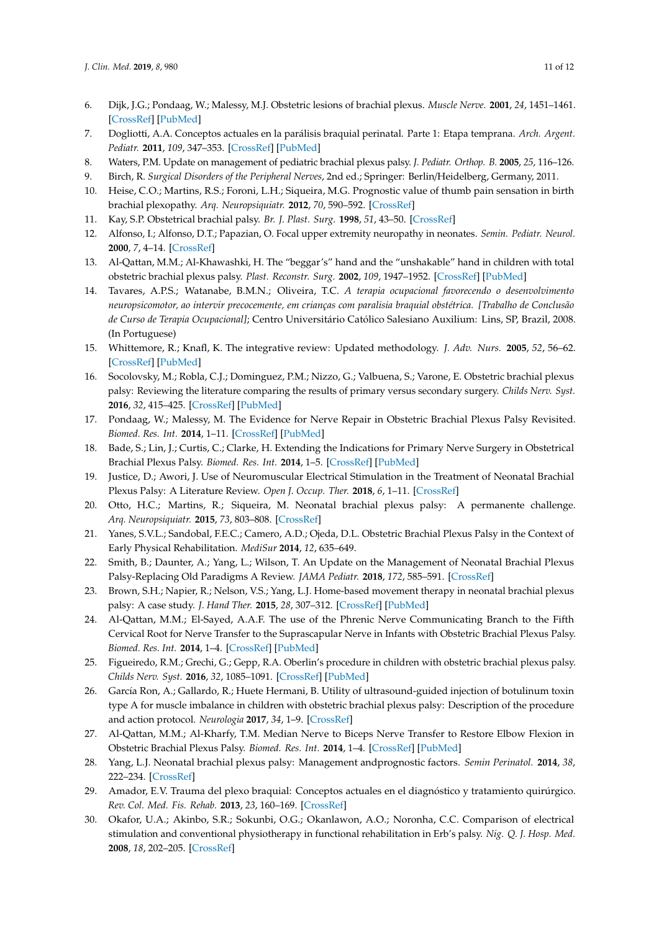- <span id="page-10-0"></span>6. Dijk, J.G.; Pondaag, W.; Malessy, M.J. Obstetric lesions of brachial plexus. *Muscle Nerve.* **2001**, *24*, 1451–1461. [\[CrossRef\]](http://dx.doi.org/10.1002/mus.1168) [\[PubMed\]](http://www.ncbi.nlm.nih.gov/pubmed/11745946)
- <span id="page-10-1"></span>7. Dogliotti, A.A. Conceptos actuales en la parálisis braquial perinatal. Parte 1: Etapa temprana. *Arch. Argent. Pediatr.* **2011**, *109*, 347–353. [\[CrossRef\]](http://dx.doi.org/10.5546/aap.2011.347) [\[PubMed\]](http://www.ncbi.nlm.nih.gov/pubmed/21829877)
- <span id="page-10-2"></span>8. Waters, P.M. Update on management of pediatric brachial plexus palsy. *J. Pediatr. Orthop. B.* **2005**, *25*, 116–126.
- <span id="page-10-3"></span>9. Birch, R. *Surgical Disorders of the Peripheral Nerves*, 2nd ed.; Springer: Berlin/Heidelberg, Germany, 2011.
- 10. Heise, C.O.; Martins, R.S.; Foroni, L.H.; Siqueira, M.G. Prognostic value of thumb pain sensation in birth brachial plexopathy. *Arq. Neuropsiquiatr.* **2012**, *70*, 590–592. [\[CrossRef\]](http://dx.doi.org/10.1590/S0004-282X2012000800006)
- <span id="page-10-5"></span>11. Kay, S.P. Obstetrical brachial palsy. *Br. J. Plast. Surg.* **1998**, *51*, 43–50. [\[CrossRef\]](http://dx.doi.org/10.1054/bjps.1997.0166)
- 12. Alfonso, I.; Alfonso, D.T.; Papazian, O. Focal upper extremity neuropathy in neonates. *Semin. Pediatr. Neurol.* **2000**, *7*, 4–14. [\[CrossRef\]](http://dx.doi.org/10.1016/S1071-9091(00)80005-4)
- <span id="page-10-4"></span>13. Al-Qattan, M.M.; Al-Khawashki, H. The "beggar's" hand and the "unshakable" hand in children with total obstetric brachial plexus palsy. *Plast. Reconstr. Surg.* **2002**, *109*, 1947–1952. [\[CrossRef\]](http://dx.doi.org/10.1097/00006534-200205000-00026) [\[PubMed\]](http://www.ncbi.nlm.nih.gov/pubmed/11994598)
- <span id="page-10-6"></span>14. Tavares, A.P.S.; Watanabe, B.M.N.; Oliveira, T.C. *A terapia ocupacional favorecendo o desenvolvimento neuropsicomotor, ao intervir precocemente, em crianças com paralisia braquial obstétrica. [Trabalho de Conclusão de Curso de Terapia Ocupacional]*; Centro Universitário Católico Salesiano Auxilium: Lins, SP, Brazil, 2008. (In Portuguese)
- <span id="page-10-7"></span>15. Whittemore, R.; Knafl, K. The integrative review: Updated methodology. *J. Adv. Nurs.* **2005**, *52*, 56–62. [\[CrossRef\]](http://dx.doi.org/10.1111/j.1365-2648.2005.03621.x) [\[PubMed\]](http://www.ncbi.nlm.nih.gov/pubmed/16268861)
- <span id="page-10-8"></span>16. Socolovsky, M.; Robla, C.J.; Dominguez, P.M.; Nizzo, G.; Valbuena, S.; Varone, E. Obstetric brachial plexus palsy: Reviewing the literature comparing the results of primary versus secondary surgery. *Childs Nerv. Syst.* **2016**, *32*, 415–425. [\[CrossRef\]](http://dx.doi.org/10.1007/s00381-015-2971-4) [\[PubMed\]](http://www.ncbi.nlm.nih.gov/pubmed/26615411)
- <span id="page-10-16"></span>17. Pondaag, W.; Malessy, M. The Evidence for Nerve Repair in Obstetric Brachial Plexus Palsy Revisited. *Biomed. Res. Int.* **2014**, 1–11. [\[CrossRef\]](http://dx.doi.org/10.1155/2014/434619) [\[PubMed\]](http://www.ncbi.nlm.nih.gov/pubmed/24551845)
- <span id="page-10-17"></span>18. Bade, S.; Lin, J.; Curtis, C.; Clarke, H. Extending the Indications for Primary Nerve Surgery in Obstetrical Brachial Plexus Palsy. *Biomed. Res. Int.* **2014**, 1–5. [\[CrossRef\]](http://dx.doi.org/10.1155/2014/627067) [\[PubMed\]](http://www.ncbi.nlm.nih.gov/pubmed/24524082)
- <span id="page-10-10"></span>19. Justice, D.; Awori, J. Use of Neuromuscular Electrical Stimulation in the Treatment of Neonatal Brachial Plexus Palsy: A Literature Review. *Open J. Occup. Ther.* **2018**, *6*, 1–11. [\[CrossRef\]](http://dx.doi.org/10.15453/2168-6408.1431)
- <span id="page-10-14"></span>20. Otto, H.C.; Martins, R.; Siqueira, M. Neonatal brachial plexus palsy: A permanente challenge. *Arq. Neuropsiquiatr.* **2015**, *73*, 803–808. [\[CrossRef\]](http://dx.doi.org/10.1590/0004-282X20150105)
- <span id="page-10-18"></span>21. Yanes, S.V.L.; Sandobal, F.E.C.; Camero, A.D.; Ojeda, D.L. Obstetric Brachial Plexus Palsy in the Context of Early Physical Rehabilitation. *MediSur* **2014**, *12*, 635–649.
- <span id="page-10-11"></span>22. Smith, B.; Daunter, A.; Yang, L.; Wilson, T. An Update on the Management of Neonatal Brachial Plexus Palsy-Replacing Old Paradigms A Review. *JAMA Pediatr.* **2018**, *172*, 585–591. [\[CrossRef\]](http://dx.doi.org/10.1001/jamapediatrics.2018.0124)
- <span id="page-10-19"></span>23. Brown, S.H.; Napier, R.; Nelson, V.S.; Yang, L.J. Home-based movement therapy in neonatal brachial plexus palsy: A case study. *J. Hand Ther.* **2015**, *28*, 307–312. [\[CrossRef\]](http://dx.doi.org/10.1016/j.jht.2014.10.004) [\[PubMed\]](http://www.ncbi.nlm.nih.gov/pubmed/26001584)
- <span id="page-10-15"></span>24. Al-Qattan, M.M.; El-Sayed, A.A.F. The use of the Phrenic Nerve Communicating Branch to the Fifth Cervical Root for Nerve Transfer to the Suprascapular Nerve in Infants with Obstetric Brachial Plexus Palsy. *Biomed. Res. Int.* **2014**, 1–4. [\[CrossRef\]](http://dx.doi.org/10.1155/2014/153182) [\[PubMed\]](http://www.ncbi.nlm.nih.gov/pubmed/24800206)
- <span id="page-10-13"></span>25. Figueiredo, R.M.; Grechi, G.; Gepp, R.A. Oberlin's procedure in children with obstetric brachial plexus palsy. *Childs Nerv. Syst.* **2016**, *32*, 1085–1091. [\[CrossRef\]](http://dx.doi.org/10.1007/s00381-015-3007-9) [\[PubMed\]](http://www.ncbi.nlm.nih.gov/pubmed/26759018)
- <span id="page-10-12"></span>26. García Ron, A.; Gallardo, R.; Huete Hermani, B. Utility of ultrasound-guided injection of botulinum toxin type A for muscle imbalance in children with obstetric brachial plexus palsy: Description of the procedure and action protocol. *Neurologia* **2017**, *34*, 1–9. [\[CrossRef\]](http://dx.doi.org/10.1016/j.nrleng.2018.12.001)
- <span id="page-10-9"></span>27. Al-Qattan, M.M.; Al-Kharfy, T.M. Median Nerve to Biceps Nerve Transfer to Restore Elbow Flexion in Obstetric Brachial Plexus Palsy. *Biomed. Res. Int.* **2014**, 1–4. [\[CrossRef\]](http://dx.doi.org/10.1155/2014/854084) [\[PubMed\]](http://www.ncbi.nlm.nih.gov/pubmed/24511548)
- <span id="page-10-20"></span>28. Yang, L.J. Neonatal brachial plexus palsy: Management andprognostic factors. *Semin Perinatol.* **2014**, *38*, 222–234. [\[CrossRef\]](http://dx.doi.org/10.1053/j.semperi.2014.04.009)
- <span id="page-10-21"></span>29. Amador, E.V. Trauma del plexo braquial: Conceptos actuales en el diagnóstico y tratamiento quirúrgico. *Rev. Col. Med. Fis. Rehab.* **2013**, *23*, 160–169. [\[CrossRef\]](http://dx.doi.org/10.28957/rcmfr)
- <span id="page-10-22"></span>30. Okafor, U.A.; Akinbo, S.R.; Sokunbi, O.G.; Okanlawon, A.O.; Noronha, C.C. Comparison of electrical stimulation and conventional physiotherapy in functional rehabilitation in Erb's palsy. *Nig. Q. J. Hosp. Med.* **2008**, *18*, 202–205. [\[CrossRef\]](http://dx.doi.org/10.4314/nqjhm.v18i4.45029)